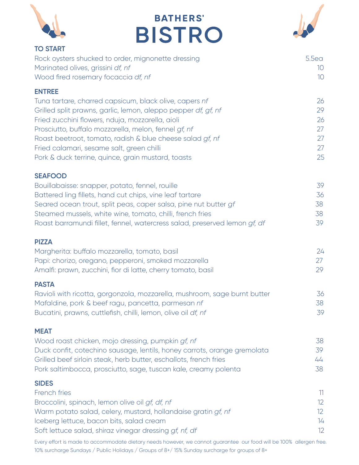|                                                                                                                  | <b>BATHERS'</b>                                                           |                                    |
|------------------------------------------------------------------------------------------------------------------|---------------------------------------------------------------------------|------------------------------------|
|                                                                                                                  | <b>BISTRO</b>                                                             |                                    |
| <b>TO START</b>                                                                                                  |                                                                           |                                    |
| Rock oysters shucked to order, mignonette dressing                                                               |                                                                           | 5.5ea                              |
| Marinated olives, grissini df, nf<br>Wood fired rosemary focaccia df, nf                                         |                                                                           | 10 <sup>°</sup><br>10 <sup>°</sup> |
|                                                                                                                  |                                                                           |                                    |
| <b>ENTREE</b><br>Tuna tartare, charred capsicum, black olive, capers nf                                          |                                                                           | 26                                 |
| Grilled split prawns, garlic, lemon, aleppo pepper df, gf, nf                                                    |                                                                           | 29                                 |
| Fried zucchini flowers, nduja, mozzarella, aioli                                                                 |                                                                           | 26                                 |
| Prosciutto, buffalo mozzarella, melon, fennel gf, nf                                                             |                                                                           | 27                                 |
| Roast beetroot, tomato, radish & blue cheese salad gf, nf                                                        |                                                                           | 27                                 |
| Fried calamari, sesame salt, green chilli<br>Pork & duck terrine, quince, grain mustard, toasts                  |                                                                           | 27<br>25                           |
|                                                                                                                  |                                                                           |                                    |
| <b>SEAFOOD</b>                                                                                                   |                                                                           |                                    |
| Bouillabaisse: snapper, potato, fennel, rouille<br>Battered ling fillets, hand cut chips, vine leaf tartare      |                                                                           | 39<br>36                           |
| Seared ocean trout, split peas, caper salsa, pine nut butter gf                                                  |                                                                           | 38                                 |
| Steamed mussels, white wine, tomato, chilli, french fries                                                        |                                                                           | 38                                 |
|                                                                                                                  | Roast barramundi fillet, fennel, watercress salad, preserved lemon gf, df | 39                                 |
| <b>PIZZA</b>                                                                                                     |                                                                           |                                    |
| Margherita: buffalo mozzarella, tomato, basil                                                                    |                                                                           | 24                                 |
| Papi: chorizo, oregano, pepperoni, smoked mozzarella                                                             |                                                                           | 27                                 |
| Amalfi: prawn, zucchini, fior di latte, cherry tomato, basil                                                     |                                                                           | 29                                 |
| <b>PASTA</b>                                                                                                     |                                                                           |                                    |
| Mafaldine, pork & beef ragu, pancetta, parmesan nf                                                               | Ravioli with ricotta, gorgonzola, mozzarella, mushroom, sage burnt butter | 36<br>38                           |
| Bucatini, prawns, cuttlefish, chilli, lemon, olive oil df, nf                                                    |                                                                           | 39                                 |
|                                                                                                                  |                                                                           |                                    |
| <b>MEAT</b><br>Wood roast chicken, mojo dressing, pumpkin gf, nf                                                 |                                                                           | 38                                 |
|                                                                                                                  | Duck confit, cotechino sausage, lentils, honey carrots, orange gremolata  | 39                                 |
| Grilled beef sirloin steak, herb butter, eschallots, french fries                                                |                                                                           | 44                                 |
| Pork saltimbocca, prosciutto, sage, tuscan kale, creamy polenta                                                  |                                                                           | 38                                 |
| <b>SIDES</b>                                                                                                     |                                                                           |                                    |
| French fries                                                                                                     |                                                                           | 11                                 |
| Broccolini, spinach, lemon olive oil gf, df, nf<br>Warm potato salad, celery, mustard, hollandaise gratin gf, nf |                                                                           | 12<br>12                           |
| Iceberg lettuce, bacon bits, salad cream                                                                         |                                                                           | 14                                 |
| Soft lettuce salad, shiraz vinegar dressing gf, nf, df                                                           |                                                                           | 12                                 |

 $\sqrt{2}$ 

Every effort is made to accommodate dietary needs however, we cannot guarantee our food will be 100% allergen free. 10% surcharge Sundays / Public Holidays / Groups of 8+/ 15% Sunday surcharge for groups of 8+